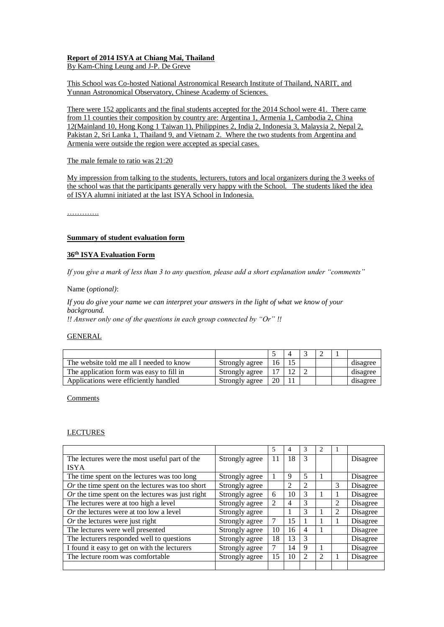# **Report of 2014 ISYA at Chiang Mai, Thailand**

By Kam-Ching Leung and J-P. De Greve

This School was Co-hosted National Astronomical Research Institute of Thailand, NARIT, and Yunnan Astronomical Observatory, Chinese Academy of Sciences.

There were 152 applicants and the final students accepted for the 2014 School were 41. There came from 11 counties their composition by country are: Argentina 1, Armenia 1, Cambodia 2, China 12(Mainland 10, Hong Kong 1 Taiwan 1), Philippines 2, India 2, Indonesia 3, Malaysia 2, Nepal 2, Pakistan 2, Sri Lanka 1, Thailand 9, and Vietnam 2. Where the two students from Argentina and Armenia were outside the region were accepted as special cases.

## The male female to ratio was 21:20

My impression from talking to the students, lecturers, tutors and local organizers during the 3 weeks of the school was that the participants generally very happy with the School. The students liked the idea of ISYA alumni initiated at the last ISYA School in Indonesia.

………….

## **Summary of student evaluation form**

## **36 th ISYA Evaluation Form**

*If you give a mark of less than 3 to any question, please add a short explanation under "comments"*

Name (*optional)*:

*If you do give your name we can interpret your answers in the light of what we know of your background.*

*!! Answer only one of the questions in each group connected by "Or" !!*

## GENERAL

| The website told me all I needed to know | Strongly agree | 16 |  |  | disagree |
|------------------------------------------|----------------|----|--|--|----------|
| The application form was easy to fill in | Strongly agree | 7  |  |  | disagree |
| Applications were efficiently handled    | Strongly agree | 20 |  |  | disagree |

Comments

### LECTURES

|                                                    |                | 5              | 4  | 3                        |   |   |          |
|----------------------------------------------------|----------------|----------------|----|--------------------------|---|---|----------|
| The lectures were the most useful part of the      | Strongly agree | 11             | 18 | 3                        |   |   | Disagree |
| <b>ISYA</b>                                        |                |                |    |                          |   |   |          |
| The time spent on the lectures was too long        | Strongly agree |                | 9  | 5                        |   |   | Disagree |
| $Or$ the time spent on the lectures was too short  | Strongly agree |                | 2  | $\overline{2}$           |   | 3 | Disagree |
| $Or$ the time spent on the lectures was just right | Strongly agree | 6              | 10 | 3                        |   |   | Disagree |
| The lectures were at too high a level              | Strongly agree | $\mathfrak{D}$ | 4  | 3                        |   | 2 | Disagree |
| $Or$ the lectures were at too low a level          | Strongly agree |                |    | 3                        |   | 2 | Disagree |
| $Or$ the lectures were just right                  | Strongly agree |                | 15 | 1                        |   |   | Disagree |
| The lectures were well presented                   | Strongly agree | 10             | 16 | $\overline{\mathcal{A}}$ |   |   | Disagree |
| The lecturers responded well to questions          | Strongly agree | 18             | 13 | 3                        |   |   | Disagree |
| I found it easy to get on with the lecturers       | Strongly agree |                | 14 | 9                        |   |   | Disagree |
| The lecture room was comfortable                   | Strongly agree | 15             | 10 | 2                        | 2 |   | Disagree |
|                                                    |                |                |    |                          |   |   |          |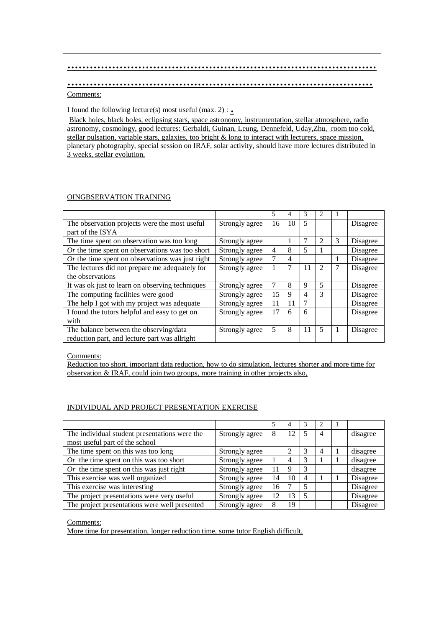# ................................................................................... .................................................................................. Comments:

I found the following lecture(s) most useful (max.  $2$ ) : .

Black holes, black boles, eclipsing stars, space astronomy, instrumentation, stellar atmosphere, radio astronomy, cosmology, good lectures: Gerbaldi, Guinan, Leung, Dennefeld, Uday,Zhu, room too cold, stellar pulsation, variable stars, galaxies, too bright & long to interact with lecturers, space mission, planetary photography, special session on IRAF, solar activity, should have more lectures distributed in 3 weeks, stellar evolution,

# OINGBSERVATION TRAINING

|                                                    |                | 5  | 4  | 3  | 2 |                |          |
|----------------------------------------------------|----------------|----|----|----|---|----------------|----------|
| The observation projects were the most useful      | Strongly agree | 16 | 10 | 5  |   |                | Disagree |
| part of the ISYA                                   |                |    |    |    |   |                |          |
| The time spent on observation was too long         | Strongly agree |    |    | 7  | 2 | 3              | Disagree |
| $Or$ the time spent on observations was too short  | Strongly agree | 4  | 8  | 5  |   |                | Disagree |
| $Or$ the time spent on observations was just right | Strongly agree |    | 4  |    |   | 1              | Disagree |
| The lectures did not prepare me adequately for     | Strongly agree |    | 7  | 11 | 2 | 7              | Disagree |
| the observations                                   |                |    |    |    |   |                |          |
| It was ok just to learn on observing techniques    | Strongly agree |    | 8  | 9  | 5 |                | Disagree |
| The computing facilities were good                 | Strongly agree | 15 | 9  | 4  | 3 |                | Disagree |
| The help I got with my project was adequate        | Strongly agree | 11 | 11 | 7  |   |                | Disagree |
| I found the tutors helpful and easy to get on      | Strongly agree | 17 | 6  | 6  |   |                | Disagree |
| with                                               |                |    |    |    |   |                |          |
| The balance between the observing/data             | Strongly agree | 5  | 8  | 11 | 5 | $\overline{1}$ | Disagree |
| reduction part, and lecture part was allright      |                |    |    |    |   |                |          |

Comments:

Reduction too short, important data reduction, how to do simulation, lectures shorter and more time for observation & IRAF, could join two groups, more training in other projects also,

# INDIVIDUAL AND PROJECT PRESENTATION EXERCISE

|                                               |                |    |    | 3              |   |          |
|-----------------------------------------------|----------------|----|----|----------------|---|----------|
| The individual student presentations were the | Strongly agree | 8  | 12 | 5              | 4 | disagree |
| most useful part of the school                |                |    |    |                |   |          |
| The time spent on this was too long           | Strongly agree |    | 2  | 3              | 4 | disagree |
| Or the time spent on this was too short       | Strongly agree |    | 4  | 3              |   | disagree |
| Or the time spent on this was just right      | Strongly agree | 11 | 9  | 3              |   | disagree |
| This exercise was well organized              | Strongly agree | 14 | 10 | $\overline{4}$ |   | Disagree |
| This exercise was interesting                 | Strongly agree | 16 |    | 5              |   | Disagree |
| The project presentations were very useful    | Strongly agree | 12 | 13 | 5              |   | Disagree |
| The project presentations were well presented | Strongly agree |    | 19 |                |   | Disagree |

Comments:

More time for presentation, longer reduction time, some tutor English difficult,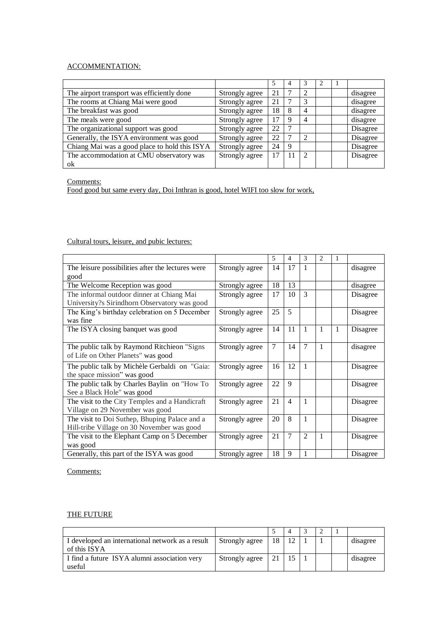# ACCOMMENTATION:

|                                               |                |    | 4 | 3              |  |          |
|-----------------------------------------------|----------------|----|---|----------------|--|----------|
| The airport transport was efficiently done    | Strongly agree | 21 |   | 2              |  | disagree |
| The rooms at Chiang Mai were good             | Strongly agree | 21 |   | 3              |  | disagree |
| The breakfast was good                        | Strongly agree | 18 | 8 | $\overline{4}$ |  | disagree |
| The meals were good                           | Strongly agree | 17 | 9 | 4              |  | disagree |
| The organizational support was good           | Strongly agree | 22 |   |                |  | Disagree |
| Generally, the ISYA environment was good      | Strongly agree | 22 | ⇁ | $\overline{2}$ |  | Disagree |
| Chiang Mai was a good place to hold this ISYA | Strongly agree | 24 | 9 |                |  | Disagree |
| The accommodation at CMU observatory was      | Strongly agree | 17 |   | $\mathcal{L}$  |  | Disagree |
| ok                                            |                |    |   |                |  |          |

Comments:

Food good but same every day, Doi Inthran is good, hotel WIFI too slow for work,

# Cultural tours, leisure, and pubic lectures:

|                                                           |                | 5              | $\overline{4}$ | 3              | $\overline{2}$ | 1 |          |
|-----------------------------------------------------------|----------------|----------------|----------------|----------------|----------------|---|----------|
| The leisure possibilities after the lectures were         | Strongly agree | 14             | 17             | 1              |                |   | disagree |
| good                                                      |                |                |                |                |                |   |          |
| The Welcome Reception was good                            | Strongly agree | 18             | 13             |                |                |   | disagree |
| The informal outdoor dinner at Chiang Mai                 | Strongly agree | 17             | 10             | 3              |                |   | Disagree |
| University?s Sirindhorn Observatory was good              |                |                |                |                |                |   |          |
| The King's birthday celebration on 5 December<br>was fine | Strongly agree | 25             | 5              |                |                |   | Disagree |
|                                                           |                |                |                |                |                |   |          |
| The ISYA closing banquet was good                         | Strongly agree | 14             | 11             | 1              | $\mathbf{1}$   | 1 | Disagree |
| The public talk by Raymond Ritchieon "Signs"              | Strongly agree | $\overline{7}$ | 14             | $\overline{7}$ | 1              |   | disagree |
| of Life on Other Planets" was good                        |                |                |                |                |                |   |          |
| The public talk by Michèle Gerbaldi on "Gaia:             | Strongly agree | 16             | 12             | 1              |                |   | Disagree |
| the space mission" was good                               |                |                |                |                |                |   |          |
| The public talk by Charles Baylin on "How To              | Strongly agree | 22             | 9              |                |                |   | Disagree |
| See a Black Hole" was good                                |                |                |                |                |                |   |          |
| The visit to the City Temples and a Handicraft            | Strongly agree | 21             | $\overline{4}$ | 1              |                |   | Disagree |
| Village on 29 November was good                           |                |                |                |                |                |   |          |
| The visit to Doi Suthep, Bhuping Palace and a             | Strongly agree | 20             | 8              | $\mathbf{1}$   |                |   | Disagree |
| Hill-tribe Village on 30 November was good                |                |                |                |                |                |   |          |
| The visit to the Elephant Camp on 5 December              | Strongly agree | 21             | $\overline{7}$ | $\overline{c}$ | 1              |   | Disagree |
| was good                                                  |                |                |                |                |                |   |          |
| Generally, this part of the ISYA was good                 | Strongly agree | 18             | 9              | 1              |                |   | Disagree |

Comments:

# THE FUTURE

| I developed an international network as a result<br>of this ISYA | Strongly agree | 18              | 12 |  | disagree |
|------------------------------------------------------------------|----------------|-----------------|----|--|----------|
| I find a future ISYA alumni association very<br>useful           | Strongly agree | 21 <sup>1</sup> |    |  | disagree |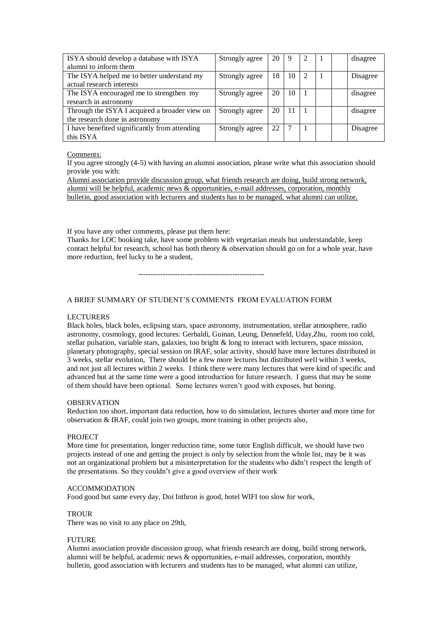| ISYA should develop a database with ISYA      | Strongly agree | 20 | 9  | 2            |  | disagree |
|-----------------------------------------------|----------------|----|----|--------------|--|----------|
| alumni to inform them                         |                |    |    |              |  |          |
| The ISYA helped me to better understand my    | Strongly agree | 18 | 10 | 2            |  | Disagree |
| actual research interests                     |                |    |    |              |  |          |
| The ISYA encouraged me to strengthen my       | Strongly agree | 20 | 10 | $\mathbf{I}$ |  | disagree |
| research in astronomy                         |                |    |    |              |  |          |
| Through the ISYA I acquired a broader view on | Strongly agree | 20 |    |              |  | disagree |
| the research done in astronomy                |                |    |    |              |  |          |
| I have benefited significantly from attending | Strongly agree | 22 |    |              |  | Disagree |
| this ISYA                                     |                |    |    |              |  |          |

### Comments:

If you agree strongly (4-5) with having an alumni association, please write what this association should provide you with:

Alumni association provide discussion group, what friends research are doing, build strong network, alumni will be helpful, academic news & opportunities, e-mail addresses, corporation, monthly bulletin, good association with lecturers and students has to be managed, what alumni can utilize,

If you have any other comments, please put them here:

Thanks for LOC booking take, have some problem with vegetarian meals but understandable, keep contact helpful for research, school has both theory & observation should go on for a whole year, have more reduction, feel lucky to be a student,

---------------------------------------------------

# A BRIEF SUMMARY OF STUDENT'S COMMENTS FROM EVALUATION FORM

### LECTURERS

Black holes, black boles, eclipsing stars, space astronomy, instrumentation, stellar atmosphere, radio astronomy, cosmology, good lectures: Gerbaldi, Guinan, Leung, Dennefeld, Uday,Zhu, room too cold, stellar pulsation, variable stars, galaxies, too bright  $\&$  long to interact with lecturers, space mission, planetary photography, special session on IRAF, solar activity, should have more lectures distributed in 3 weeks, stellar evolution, There should be a few more lectures but distributed well within 3 weeks, and not just all lectures within 2 weeks. I think there were many lectures that were kind of specific and advanced but at the same time were a good introduction for future research. I guess that may be some of them should have been optional. Some lectures weren't good with exposes, but boring.

### OBSERVATION

Reduction too short, important data reduction, how to do simulation, lectures shorter and more time for observation & IRAF, could join two groups, more training in other projects also,

### PROJECT

More time for presentation, longer reduction time, some tutor English difficult, we should have two projects instead of one and getting the project is only by selection from the whole list, may be it was not an organizational problem but a misinterpretation for the students who didn't respect the length of the presentations. So they couldn't give a good overview of their work

### ACCOMMODATION

Food good but same every day, Doi Inthron is good, hotel WIFI too slow for work,

### **TROUR**

There was no visit to any place on 29th,

### FUTURE

Alumni association provide discussion group, what friends research are doing, build strong network, alumni will be helpful, academic news & opportunities, e-mail addresses, corporation, monthly bulletin, good association with lecturers and students has to be managed, what alumni can utilize,